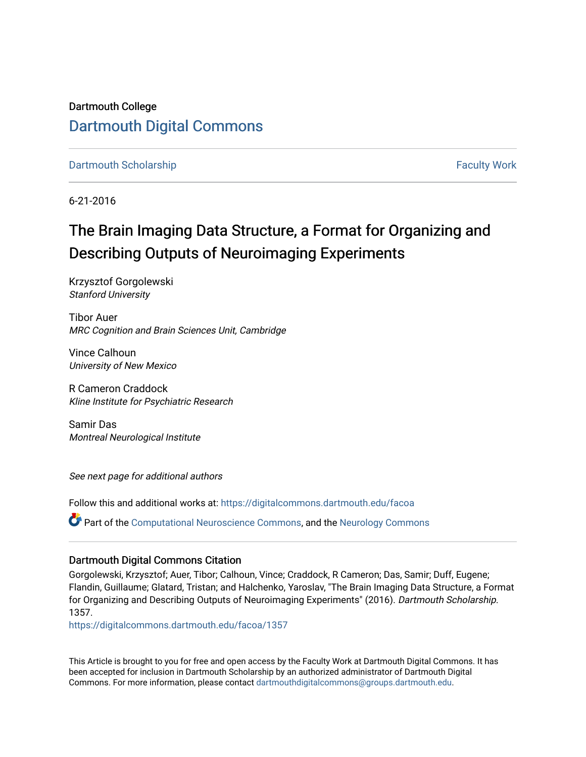Dartmouth College [Dartmouth Digital Commons](https://digitalcommons.dartmouth.edu/) 

[Dartmouth Scholarship](https://digitalcommons.dartmouth.edu/facoa) [Faculty Work](https://digitalcommons.dartmouth.edu/faculty) and The Basic Scholarship Faculty Work Faculty Work

6-21-2016

## The Brain Imaging Data Structure, a Format for Organizing and Describing Outputs of Neuroimaging Experiments

Krzysztof Gorgolewski Stanford University

Tibor Auer MRC Cognition and Brain Sciences Unit, Cambridge

Vince Calhoun University of New Mexico

R Cameron Craddock Kline Institute for Psychiatric Research

Samir Das Montreal Neurological Institute

See next page for additional authors

Follow this and additional works at: [https://digitalcommons.dartmouth.edu/facoa](https://digitalcommons.dartmouth.edu/facoa?utm_source=digitalcommons.dartmouth.edu%2Ffacoa%2F1357&utm_medium=PDF&utm_campaign=PDFCoverPages)

Part of the [Computational Neuroscience Commons,](http://network.bepress.com/hgg/discipline/58?utm_source=digitalcommons.dartmouth.edu%2Ffacoa%2F1357&utm_medium=PDF&utm_campaign=PDFCoverPages) and the [Neurology Commons](http://network.bepress.com/hgg/discipline/692?utm_source=digitalcommons.dartmouth.edu%2Ffacoa%2F1357&utm_medium=PDF&utm_campaign=PDFCoverPages) 

#### Dartmouth Digital Commons Citation

Gorgolewski, Krzysztof; Auer, Tibor; Calhoun, Vince; Craddock, R Cameron; Das, Samir; Duff, Eugene; Flandin, Guillaume; Glatard, Tristan; and Halchenko, Yaroslav, "The Brain Imaging Data Structure, a Format for Organizing and Describing Outputs of Neuroimaging Experiments" (2016). Dartmouth Scholarship. 1357.

[https://digitalcommons.dartmouth.edu/facoa/1357](https://digitalcommons.dartmouth.edu/facoa/1357?utm_source=digitalcommons.dartmouth.edu%2Ffacoa%2F1357&utm_medium=PDF&utm_campaign=PDFCoverPages) 

This Article is brought to you for free and open access by the Faculty Work at Dartmouth Digital Commons. It has been accepted for inclusion in Dartmouth Scholarship by an authorized administrator of Dartmouth Digital Commons. For more information, please contact [dartmouthdigitalcommons@groups.dartmouth.edu](mailto:dartmouthdigitalcommons@groups.dartmouth.edu).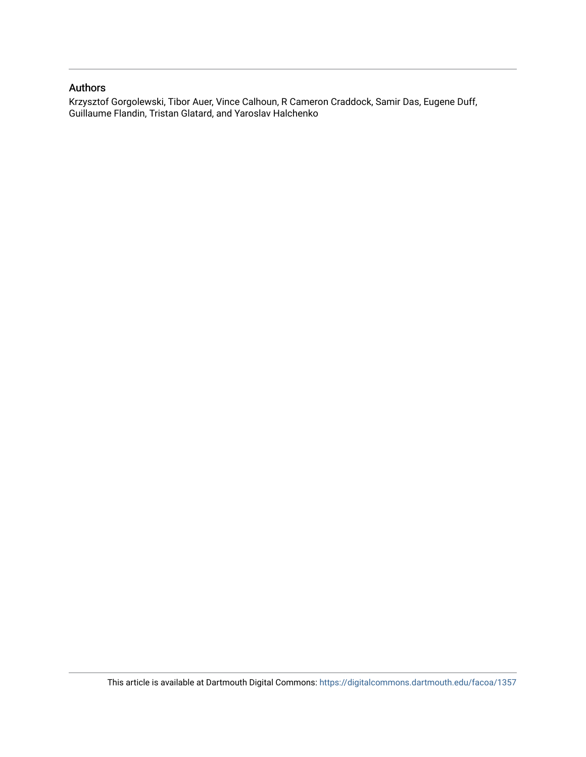### Authors

Krzysztof Gorgolewski, Tibor Auer, Vince Calhoun, R Cameron Craddock, Samir Das, Eugene Duff, Guillaume Flandin, Tristan Glatard, and Yaroslav Halchenko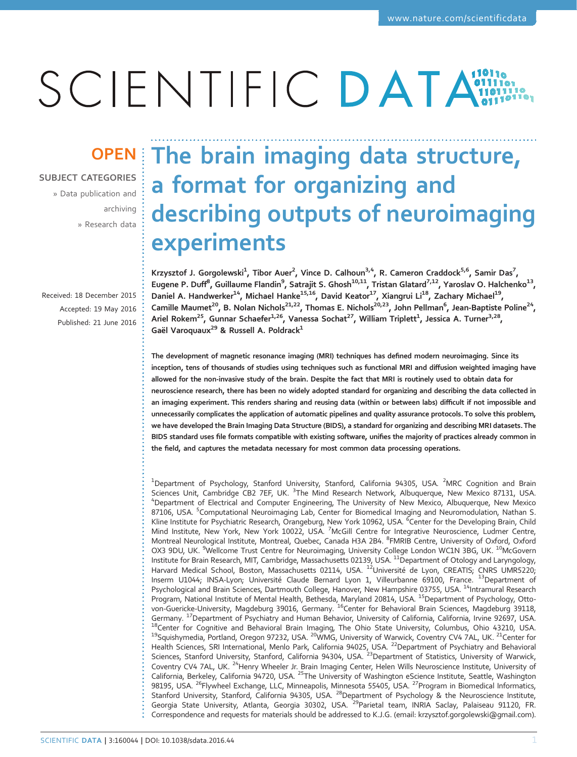# SCIENTIFIC DATA

### SUBJECT CATEGORIES

» Data publication and archiving » Research data

Received: 18 December 2015 Accepted: 19 May 2016 Published: 21 June 2016

## OPEN The brain imaging data structure, a format for organizing and describing outputs of neuroimaging experiments

Krzysztof J. Gorgolewski<sup>1</sup>, Tibor Auer<sup>2</sup>, Vince D. Calhoun<sup>3,4</sup>, R. Cameron Craddock<sup>5,6</sup>, Samir Das<sup>7</sup>, Eugene P. Duff $^8$ , Guillaume Flandin $^9$ , Satrajit S. Ghosh $^{10,11}$ , Tristan Glatard $^{7,12}$ , Yaroslav O. Halchenko $^{13}$ , Daniel A. Handwerker<sup>14</sup>, Michael Hanke<sup>15,16</sup>, David Keator<sup>17</sup>, Xiangrui Li<sup>18</sup>, Zachary Michael<sup>19</sup>, Camille Maumet<sup>20</sup>, B. Nolan Nichols<sup>21,22</sup>, Thomas E. Nichols<sup>20,23</sup>, John Pellman<sup>6</sup>, Jean-Baptiste Poline<sup>24</sup>, Ariel Rokem $^{25}$ , Gunnar Schaefer $^{1,26}$ , Vanessa Sochat $^{27}$ , William Triplett $^{1}$ , Jessica A. Turner $^{3,28}$ , Gaël Varoquaux<sup>29</sup> & Russell A. Poldrack<sup>1</sup>

The development of magnetic resonance imaging (MRI) techniques has defined modern neuroimaging. Since its inception, tens of thousands of studies using techniques such as functional MRI and diffusion weighted imaging have allowed for the non-invasive study of the brain. Despite the fact that MRI is routinely used to obtain data for neuroscience research, there has been no widely adopted standard for organizing and describing the data collected in an imaging experiment. This renders sharing and reusing data (within or between labs) difficult if not impossible and unnecessarily complicates the application of automatic pipelines and quality assurance protocols. To solve this problem, we have developed the Brain Imaging Data Structure (BIDS), a standard for organizing and describing MRI datasets. The BIDS standard uses file formats compatible with existing software, unifies the majority of practices already common in the field, and captures the metadata necessary for most common data processing operations.

<sup>1</sup>Department of Psychology, Stanford University, Stanford, California 94305, USA. <sup>2</sup>MRC Cognition and Brain Sciences Unit, Cambridge CB2 7EF, UK. <sup>3</sup> The Mind Research Network, Albuquerque, New Mexico 87131, USA.<br><sup>4</sup> Department of Electrical and Computer Engineering The University of New Mexico, Albuquerque, New Mexico <sup>4</sup>Department of Electrical and Computer Engineering, The University of New Mexico, Albuquerque, New Mexico 87106, USA. <sup>5</sup>Computational Neuroimaging Lab, Center for Biomedical Imaging and Neuromodulation, Nathan S. Kline Institute for Psychiatric Research, Orangeburg, New York 10962, USA. <sup>6</sup>Center for the Developing Brain, Child Mind Institute, New York, New York 10022, USA. <sup>7</sup>McGill Centre for Integrative Neuroscience, Ludmer Centre, Montreal Neurological Institute, Montreal, Quebec, Canada H3A 2B4. <sup>8</sup>FMRIB Centre, University of Oxford, Oxford OX3 9DU, UK. <sup>9</sup>Wellcome Trust Centre for Neuroimaging, University College London WC1N 3BG, UK. <sup>10</sup>McGovern Institute for Brain Research, MIT, Cambridge, Massachusetts 02139, USA. <sup>11</sup>Department of Otology and Laryngology, Harvard Medical School, Boston, Massachusetts 02114, USA. <sup>12</sup>Université de Lyon, CREATIS; CNRS UMR5220; Inserm U1044; INSA-Lyon; Université Claude Bernard Lyon 1, Villeurbanne 69100, France. <sup>13</sup>Department of Psychological and Brain Sciences, Dartmouth College, Hanover, New Hampshire 03755, USA. <sup>14</sup>Intramural Research Program, National Institute of Mental Health, Bethesda, Maryland 20814, USA. <sup>15</sup>Department of Psychology, Ottovon-Guericke-University, Magdeburg 39016, Germany. <sup>16</sup>Center for Behavioral Brain Sciences, Magdeburg 39118, Germany. <sup>17</sup>Department of Psychiatry and Human Behavior, University of California, California, Irvine 92697, USA.<br><sup>18</sup>Center for Cognitive and Behavioral Brain Imaging, The Ohio State University, Columbus, Ohio 43210, USA Health Sciences, SRI International, Menlo Park, California 94025, USA. <sup>22</sup>Department of Psychiatry and Behavioral Sciences, Stanford University, Stanford, California 94304, USA. <sup>23</sup>Department of Statistics, University of Warwick, Coventry CV4 7AL, UK. <sup>24</sup>Henry Wheeler Jr. Brain Imaging Center, Helen Wills Neuroscience Institute, University of California, Berkeley, California 94720, USA. <sup>25</sup>The University of Washington eScience Institute, Seattle, Washington 98195, USA. <sup>26</sup>Flywheel Exchange, LLC, Minneapolis, Minnesota 55405, USA. <sup>27</sup>Program in Biomedical Informatics, Stanford University, Stanford, California 94305, USA. <sup>28</sup>Department of Psychology & the Neuroscience Institute, Georgia State University, Atlanta, Georgia 30302, USA. <sup>29</sup>Parietal team, INRIA Saclay, Palaiseau 91120, FR. Correspondence and requests for materials should be addressed to K.J.G. (email: [krzysztof.gorgolewski@gmail.com\)](mailto:krzysztof.gorgolewski@gmail.com).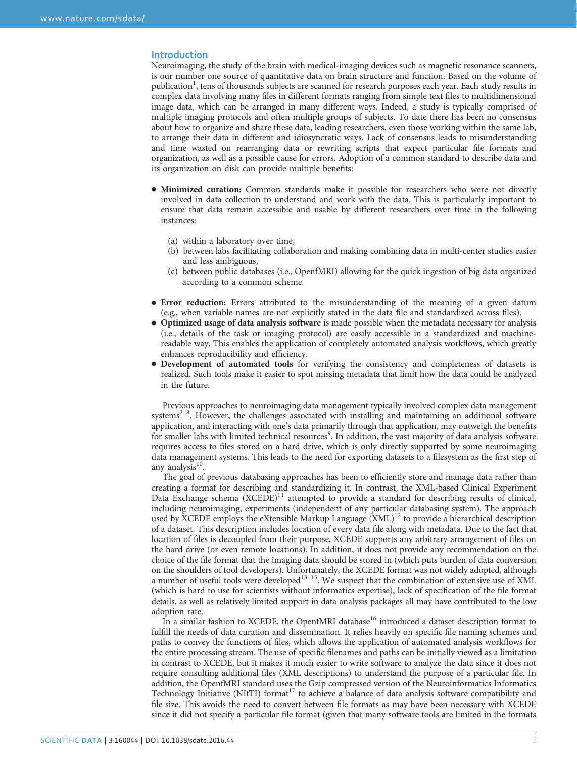#### Introduction

Neuroimaging, the study of the brain with medical-imaging devices such as magnetic resonance scanners, is our number one source of quantitative data on brain structure and function. Based on the volume of publication<sup>[1](#page-8-0)</sup>, tens of thousands subjects are scanned for research purposes each year. Each study results in complex data involving many files in different formats ranging from simple text files to multidimensional image data, which can be arranged in many different ways. Indeed, a study is typically comprised of multiple imaging protocols and often multiple groups of subjects. To date there has been no consensus about how to organize and share these data, leading researchers, even those working within the same lab, to arrange their data in different and idiosyncratic ways. Lack of consensus leads to misunderstanding and time wasted on rearranging data or rewriting scripts that expect particular file formats and organization, as well as a possible cause for errors. Adoption of a common standard to describe data and its organization on disk can provide multiple benefits:

- Minimized curation: Common standards make it possible for researchers who were not directly involved in data collection to understand and work with the data. This is particularly important to ensure that data remain accessible and usable by different researchers over time in the following instances:
	- (a) within a laboratory over time,
	- (b) between labs facilitating collaboration and making combining data in multi-center studies easier and less ambiguous,
	- (c) between public databases (i.e., OpenfMRI) allowing for the quick ingestion of big data organized according to a common scheme.
- Error reduction: Errors attributed to the misunderstanding of the meaning of a given datum (e.g., when variable names are not explicitly stated in the data file and standardized across files).
- Optimized usage of data analysis software is made possible when the metadata necessary for analysis (i.e., details of the task or imaging protocol) are easily accessible in a standardized and machinereadable way. This enables the application of completely automated analysis workflows, which greatly enhances reproducibility and efficiency.
- Development of automated tools for verifying the consistency and completeness of datasets is realized. Such tools make it easier to spot missing metadata that limit how the data could be analyzed in the future.

Prev[iou](#page-8-0)s approaches to neuroimaging data management typically involved complex data management systems<sup>2-8</sup>. However, the challenges associated with installing and maintaining an additional software application, and interacting with one's data primarily through that application, may outweigh the benefits for smaller labs with limited technical resources<sup>[9](#page-8-0)</sup>. In addition, the vast majority of data analysis software requires access to files stored on a hard drive, which is only directly supported by some neuroimaging data management systems. This leads to the need for exporting datasets to a filesystem as the first step of any analysis $10$ .

The goal of previous databasing approaches has been to efficiently store and manage data rather than creating a format for describing and standardizing it. In contrast, the XML-based Clinical Experiment Data Exchange schema  $(XCEDE)^{11}$  attempted to provide a standard for describing results of clinical, including neuroimaging, experiments (independent of any particular databasing system). The approach used by XCEDE employs the eXtensible Markup Language (XML)<sup>[12](#page-8-0)</sup> to provide a hierarchical description of a dataset. This description includes location of every data file along with metadata. Due to the fact that location of files is decoupled from their purpose, XCEDE supports any arbitrary arrangement of files on the hard drive (or even remote locations). In addition, it does not provide any recommendation on the choice of the file format that the imaging data should be stored in (which puts burden of data conversion on the shoulders of tool developers). Un[fortun](#page-8-0)ately, the XCEDE format was not widely adopted, although<br>a number of useful tools were developed<sup>13–15</sup>. We suspect that the combination of extensive use of XML (which is hard to use for scientists without informatics expertise), lack of specification of the file format details, as well as relatively limited support in data analysis packages all may have contributed to the low adoption rate.

In a similar fashion to XCEDE, the OpenfMRI database<sup>[16](#page-9-0)</sup> introduced a dataset description format to fulfill the needs of data curation and dissemination. It relies heavily on specific file naming schemes and paths to convey the functions of files, which allows the application of automated analysis workflows for the entire processing stream. The use of specific filenames and paths can be initially viewed as a limitation in contrast to XCEDE, but it makes it much easier to write software to analyze the data since it does not require consulting additional files (XML descriptions) to understand the purpose of a particular file. In addition, the OpenfMRI standard uses the Gzip compressed version of the Neuroinformatics Informatics Technology Initiative (NIfTI) format<sup>[17](#page-9-0)</sup> to achieve a balance of data analysis software compatibility and file size. This avoids the need to convert between file formats as may have been necessary with XCEDE since it did not specify a particular file format (given that many software tools are limited in the formats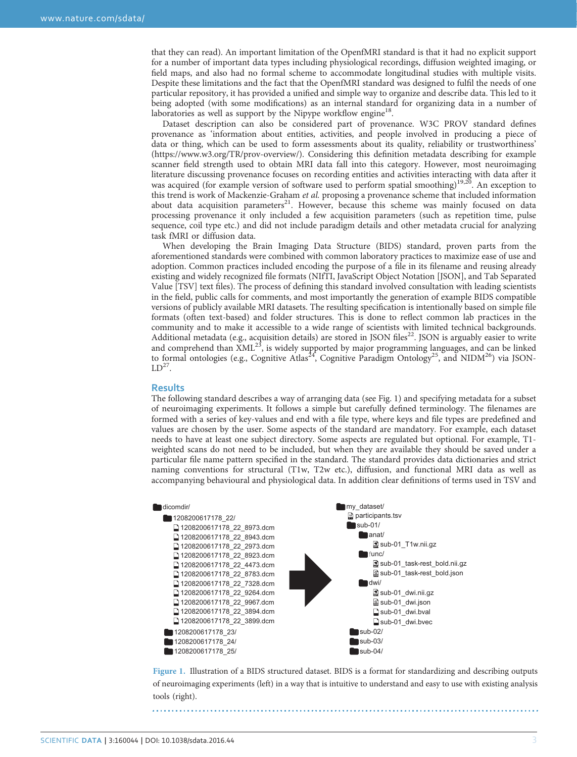that they can read). An important limitation of the OpenfMRI standard is that it had no explicit support for a number of important data types including physiological recordings, diffusion weighted imaging, or field maps, and also had no formal scheme to accommodate longitudinal studies with multiple visits. Despite these limitations and the fact that the OpenfMRI standard was designed to fulfil the needs of one particular repository, it has provided a unified and simple way to organize and describe data. This led to it being adopted (with some modifications) as an internal standard for organizing data in a number of laboratories as well as support by the Nipype workflow engine<sup>18</sup>.

Dataset description can also be considered part of provenance. W3C PROV standard defines provenance as 'information about entities, activities, and people involved in producing a piece of data or thing, which can be used to form assessments about its quality, reliability or trustworthiness' [\(https://www.w3.org/TR/prov-overview/\)](https://www.w3.org/TR/prov-overview/). Considering this definition metadata describing for example scanner field strength used to obtain MRI data fall into this category. However, most neuroimaging literature discussing provenance focuses on recording entities and activities interacting with data after it was acquired (for example version of software used to perform spatial smoothing)<sup>19,20</sup>. An exception to this trend is work of Mackenzie-Graham et al. proposing a provenance scheme that included information about data acquisition parameters<sup>[21](#page-9-0)</sup>. However, because this scheme was mainly focused on data processing provenance it only included a few acquisition parameters (such as repetition time, pulse sequence, coil type etc.) and did not include paradigm details and other metadata crucial for analyzing task fMRI or diffusion data.

When developing the Brain Imaging Data Structure (BIDS) standard, proven parts from the aforementioned standards were combined with common laboratory practices to maximize ease of use and adoption. Common practices included encoding the purpose of a file in its filename and reusing already existing and widely recognized file formats (NIfTI, JavaScript Object Notation [JSON], and Tab Separated Value [TSV] text files). The process of defining this standard involved consultation with leading scientists in the field, public calls for comments, and most importantly the generation of example BIDS compatible versions of publicly available MRI datasets. The resulting specification is intentionally based on simple file formats (often text-based) and folder structures. This is done to reflect common lab practices in the community and to make it accessible to a wide range of scientists with limited technical backgrounds. Additional metadata (e.g., acquisition details) are stored in JSON files<sup>[22](#page-9-0)</sup>. JSON is arguably easier to write and comprehend than  $\text{XML}^{23}$ , is widely supported by major programming languages, and can be linked to formal ontologies (e.g., Cognitive Atlas<sup>24</sup>, Cognitive Paradigm Ontology<sup>[25](#page-9-0)</sup>, and NIDM<sup>26</sup>) via JSON- $LD^{27}$ .

#### **Results**

The following standard describes a way of arranging data (see Fig. 1) and specifying metadata for a subset of neuroimaging experiments. It follows a simple but carefully defined terminology. The filenames are formed with a series of key-values and end with a file type, where keys and file types are predefined and values are chosen by the user. Some aspects of the standard are mandatory. For example, each dataset needs to have at least one subject directory. Some aspects are regulated but optional. For example, T1 weighted scans do not need to be included, but when they are available they should be saved under a particular file name pattern specified in the standard. The standard provides data dictionaries and strict naming conventions for structural (T1w, T2w etc.), diffusion, and functional MRI data as well as accompanying behavioural and physiological data. In addition clear definitions of terms used in TSV and



Figure 1. Illustration of a BIDS structured dataset. BIDS is a format for standardizing and describing outputs of neuroimaging experiments (left) in a way that is intuitive to understand and easy to use with existing analysis tools (right).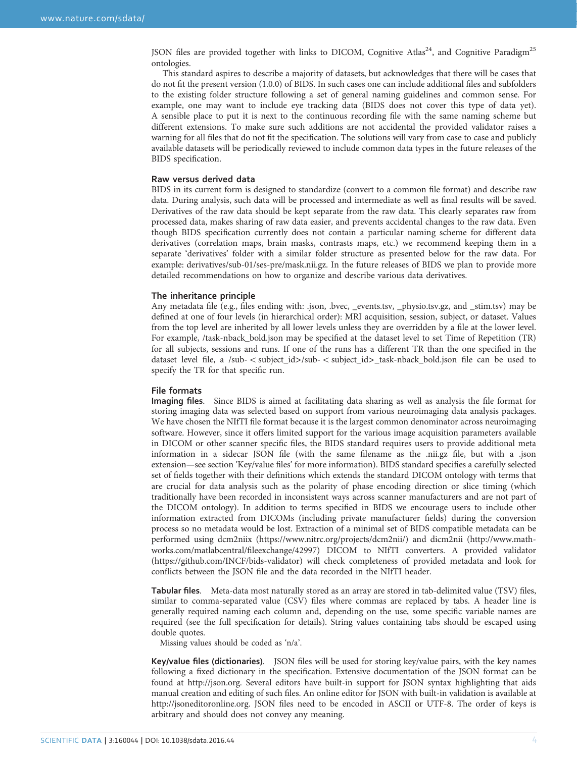JSON files are provided together with links to DICOM, Cognitive Atlas<sup>24</sup>, and Cognitive Paradigm<sup>[25](#page-9-0)</sup> ontologies.

This standard aspires to describe a majority of datasets, but acknowledges that there will be cases that do not fit the present version (1.0.0) of BIDS. In such cases one can include additional files and subfolders to the existing folder structure following a set of general naming guidelines and common sense. For example, one may want to include eye tracking data (BIDS does not cover this type of data yet). A sensible place to put it is next to the continuous recording file with the same naming scheme but different extensions. To make sure such additions are not accidental the provided validator raises a warning for all files that do not fit the specification. The solutions will vary from case to case and publicly available datasets will be periodically reviewed to include common data types in the future releases of the BIDS specification.

#### Raw versus derived data

BIDS in its current form is designed to standardize (convert to a common file format) and describe raw data. During analysis, such data will be processed and intermediate as well as final results will be saved. Derivatives of the raw data should be kept separate from the raw data. This clearly separates raw from processed data, makes sharing of raw data easier, and prevents accidental changes to the raw data. Even though BIDS specification currently does not contain a particular naming scheme for different data derivatives (correlation maps, brain masks, contrasts maps, etc.) we recommend keeping them in a separate 'derivatives' folder with a similar folder structure as presented below for the raw data. For example: derivatives/sub-01/ses-pre/mask.nii.gz. In the future releases of BIDS we plan to provide more detailed recommendations on how to organize and describe various data derivatives.

#### The inheritance principle

Any metadata file (e.g., files ending with: .json, .bvec, \_events.tsv, \_physio.tsv.gz, and \_stim.tsv) may be defined at one of four levels (in hierarchical order): MRI acquisition, session, subject, or dataset. Values from the top level are inherited by all lower levels unless they are overridden by a file at the lower level. For example, /task-nback\_bold.json may be specified at the dataset level to set Time of Repetition (TR) for all subjects, sessions and runs. If one of the runs has a different TR than the one specified in the dataset level file, a /sub- $\langle$  subject\_id>/sub- $\langle$  subject\_id>\_task-nback\_bold.json file can be used to specify the TR for that specific run.

#### File formats

Imaging files. Since BIDS is aimed at facilitating data sharing as well as analysis the file format for storing imaging data was selected based on support from various neuroimaging data analysis packages. We have chosen the NIfTI file format because it is the largest common denominator across neuroimaging software. However, since it offers limited support for the various image acquisition parameters available in DICOM or other scanner specific files, the BIDS standard requires users to provide additional meta information in a sidecar JSON file (with the same filename as the .nii.gz file, but with a .json extension—see section 'Key/value files' for more information). BIDS standard specifies a carefully selected set of fields together with their definitions which extends the standard DICOM ontology with terms that are crucial for data analysis such as the polarity of phase encoding direction or slice timing (which traditionally have been recorded in inconsistent ways across scanner manufacturers and are not part of the DICOM ontology). In addition to terms specified in BIDS we encourage users to include other information extracted from DICOMs (including private manufacturer fields) during the conversion process so no metadata would be lost. Extraction of a minimal set of BIDS compatible metadata can be performed using dcm2niix ([https://www.nitrc.org/projects/dcm2nii/\)](https://www.nitrc.org/projects/dcm2nii/) and dicm2nii [\(http://www.math](http://www.mathworks.com/matlabcentral/fileexchange/42997)[works.com/matlabcentral/](http://www.mathworks.com/matlabcentral/fileexchange/42997)fileexchange/42997) DICOM to NIfTI converters. A provided validator [\(https://github.com/INCF/bids-validator](https://github.com/INCF/bids-validator)) will check completeness of provided metadata and look for conflicts between the JSON file and the data recorded in the NIfTI header.

Tabular files. Meta-data most naturally stored as an array are stored in tab-delimited value (TSV) files, similar to comma-separated value (CSV) files where commas are replaced by tabs. A header line is generally required naming each column and, depending on the use, some specific variable names are required (see the full specification for details). String values containing tabs should be escaped using double quotes.

Missing values should be coded as 'n/a'.

Key/value files (dictionaries). JSON files will be used for storing key/value pairs, with the key names following a fixed dictionary in the specification. Extensive documentation of the JSON format can be found at [http://json.org.](http://json.org) Several editors have built-in support for JSON syntax highlighting that aids manual creation and editing of such files. An online editor for JSON with built-in validation is available at <http://jsoneditoronline.org>. JSON files need to be encoded in ASCII or UTF-8. The order of keys is arbitrary and should does not convey any meaning.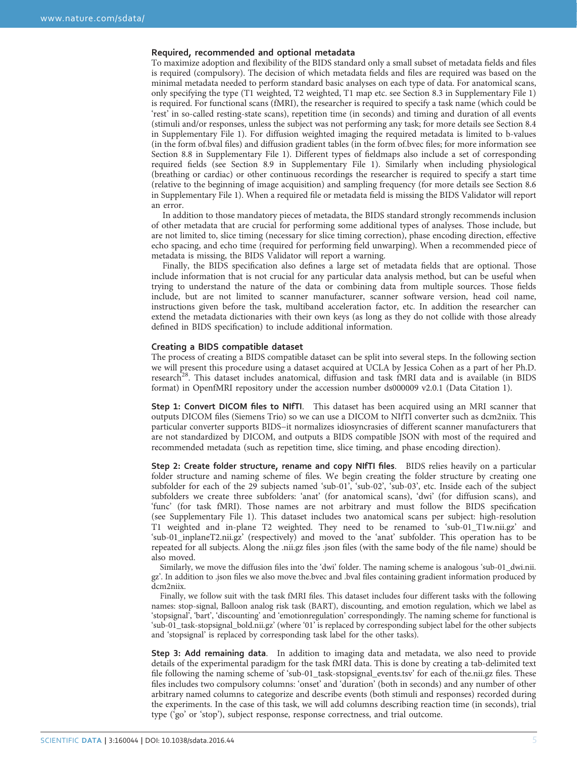#### Required, recommended and optional metadata

To maximize adoption and flexibility of the BIDS standard only a small subset of metadata fields and files is required (compulsory). The decision of which metadata fields and files are required was based on the minimal metadata needed to perform standard basic analyses on each type of data. For anatomical scans, only specifying the type (T1 weighted, T2 weighted, T1 map etc. see Section 8.3 in Supplementary File 1) is required. For functional scans (fMRI), the researcher is required to specify a task name (which could be 'rest' in so-called resting-state scans), repetition time (in seconds) and timing and duration of all events (stimuli and/or responses, unless the subject was not performing any task; for more details see Section 8.4 in Supplementary File 1). For diffusion weighted imaging the required metadata is limited to b-values (in the form of.bval files) and diffusion gradient tables (in the form of.bvec files; for more information see Section 8.8 in Supplementary File 1). Different types of fieldmaps also include a set of corresponding required fields (see Section 8.9 in Supplementary File 1). Similarly when including physiological (breathing or cardiac) or other continuous recordings the researcher is required to specify a start time (relative to the beginning of image acquisition) and sampling frequency (for more details see Section 8.6 in Supplementary File 1). When a required file or metadata field is missing the BIDS Validator will report an error.

In addition to those mandatory pieces of metadata, the BIDS standard strongly recommends inclusion of other metadata that are crucial for performing some additional types of analyses. Those include, but are not limited to, slice timing (necessary for slice timing correction), phase encoding direction, effective echo spacing, and echo time (required for performing field unwarping). When a recommended piece of metadata is missing, the BIDS Validator will report a warning.

Finally, the BIDS specification also defines a large set of metadata fields that are optional. Those include information that is not crucial for any particular data analysis method, but can be useful when trying to understand the nature of the data or combining data from multiple sources. Those fields include, but are not limited to scanner manufacturer, scanner software version, head coil name, instructions given before the task, multiband acceleration factor, etc. In addition the researcher can extend the metadata dictionaries with their own keys (as long as they do not collide with those already defined in BIDS specification) to include additional information.

#### Creating a BIDS compatible dataset

The process of creating a BIDS compatible dataset can be split into several steps. In the following section we will present this procedure using a dataset acquired at UCLA by Jessica Cohen as a part of her Ph.D. research<sup>[28](#page-9-0)</sup>. This dataset includes anatomical, diffusion and task fMRI data and is available (in BIDS format) in OpenfMRI repository under the accession number ds000009 v2.0.1 (Data Citation 1).

Step 1: Convert DICOM files to NIfTI. This dataset has been acquired using an MRI scanner that outputs DICOM files (Siemens Trio) so we can use a DICOM to NIfTI converter such as dcm2niix. This particular converter supports BIDS−it normalizes idiosyncrasies of different scanner manufacturers that are not standardized by DICOM, and outputs a BIDS compatible JSON with most of the required and recommended metadata (such as repetition time, slice timing, and phase encoding direction).

Step 2: Create folder structure, rename and copy NIfTI files. BIDS relies heavily on a particular folder structure and naming scheme of files. We begin creating the folder structure by creating one subfolder for each of the 29 subjects named 'sub-01', 'sub-02', 'sub-03', etc. Inside each of the subject subfolders we create three subfolders: 'anat' (for anatomical scans), 'dwi' (for diffusion scans), and 'func' (for task fMRI). Those names are not arbitrary and must follow the BIDS specification (see Supplementary File 1). This dataset includes two anatomical scans per subject: high-resolution T1 weighted and in-plane T2 weighted. They need to be renamed to 'sub-01\_T1w.nii.gz' and 'sub-01\_inplaneT2.nii.gz' (respectively) and moved to the 'anat' subfolder. This operation has to be repeated for all subjects. Along the .nii.gz files .json files (with the same body of the file name) should be also moved.

Similarly, we move the diffusion files into the 'dwi' folder. The naming scheme is analogous 'sub-01\_dwi.nii. gz'. In addition to .json files we also move the.bvec and .bval files containing gradient information produced by dcm2niix.

Finally, we follow suit with the task fMRI files. This dataset includes four different tasks with the following names: stop-signal, Balloon analog risk task (BART), discounting, and emotion regulation, which we label as 'stopsignal', 'bart', 'discounting' and 'emotionregulation' correspondingly. The naming scheme for functional is 'sub-01\_task-stopsignal\_bold.nii.gz' (where '01' is replaced by corresponding subject label for the other subjects and 'stopsignal' is replaced by corresponding task label for the other tasks).

Step 3: Add remaining data. In addition to imaging data and metadata, we also need to provide details of the experimental paradigm for the task fMRI data. This is done by creating a tab-delimited text file following the naming scheme of 'sub-01\_task-stopsignal\_events.tsv' for each of the.nii.gz files. These files includes two compulsory columns: 'onset' and 'duration' (both in seconds) and any number of other arbitrary named columns to categorize and describe events (both stimuli and responses) recorded during the experiments. In the case of this task, we will add columns describing reaction time (in seconds), trial type ('go' or 'stop'), subject response, response correctness, and trial outcome.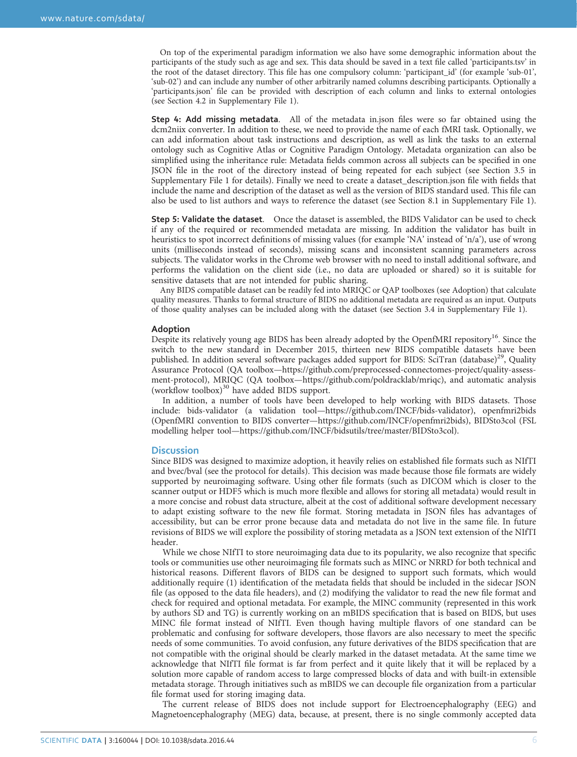On top of the experimental paradigm information we also have some demographic information about the participants of the study such as age and sex. This data should be saved in a text file called 'participants.tsv' in the root of the dataset directory. This file has one compulsory column: 'participant\_id' (for example 'sub-01', 'sub-02') and can include any number of other arbitrarily named columns describing participants. Optionally a 'participants.json' file can be provided with description of each column and links to external ontologies (see Section 4.2 in Supplementary File 1).

Step 4: Add missing metadata. All of the metadata in.json files were so far obtained using the dcm2niix converter. In addition to these, we need to provide the name of each fMRI task. Optionally, we can add information about task instructions and description, as well as link the tasks to an external ontology such as Cognitive Atlas or Cognitive Paradigm Ontology. Metadata organization can also be simplified using the inheritance rule: Metadata fields common across all subjects can be specified in one JSON file in the root of the directory instead of being repeated for each subject (see Section 3.5 in Supplementary File 1 for details). Finally we need to create a dataset\_description.json file with fields that include the name and description of the dataset as well as the version of BIDS standard used. This file can also be used to list authors and ways to reference the dataset (see Section 8.1 in Supplementary File 1).

Step 5: Validate the dataset. Once the dataset is assembled, the BIDS Validator can be used to check if any of the required or recommended metadata are missing. In addition the validator has built in heuristics to spot incorrect definitions of missing values (for example 'NA' instead of 'n/a'), use of wrong units (milliseconds instead of seconds), missing scans and inconsistent scanning parameters across subjects. The validator works in the Chrome web browser with no need to install additional software, and performs the validation on the client side (i.e., no data are uploaded or shared) so it is suitable for sensitive datasets that are not intended for public sharing.

Any BIDS compatible dataset can be readily fed into MRIQC or QAP toolboxes (see Adoption) that calculate quality measures. Thanks to formal structure of BIDS no additional metadata are required as an input. Outputs of those quality analyses can be included along with the dataset (see Section 3.4 in Supplementary File 1).

#### Adoption

Despite its relatively young age BIDS has been already adopted by the OpenfMRI repository<sup>[16](#page-9-0)</sup>. Since the switch to the new standard in December 2015, thirteen new BIDS compatible datasets have been published. In addition several software packages added support for BIDS: SciTran (database)<sup>[29](#page-9-0)</sup>, Quality Assurance Protocol (QA toolbox—[https://github.com/preprocessed-connectomes-project/quality-assess](https://github.com/preprocessed-connectomes-project/quality-assessment-protocol)[ment-protocol\)](https://github.com/preprocessed-connectomes-project/quality-assessment-protocol), MRIQC (QA toolbox—<https://github.com/poldracklab/mriqc>), and automatic analysis (workflow toolbox)<sup>[30](#page-9-0)</sup> have added BIDS support.

In addition, a number of tools have been developed to help working with BIDS datasets. Those include: bids-validator (a validation tool—[https://github.com/INCF/bids-validator\)](https://github.com/INCF/bids-validator), openfmri2bids (OpenfMRI convention to BIDS converter—[https://github.com/INCF/openfmri2bids\)](https://github.com/INCF/openfmri2bids), BIDSto3col (FSL modelling helper tool—[https://github.com/INCF/bidsutils/tree/master/BIDSto3col\)](https://github.com/INCF/bidsutils/tree/master/BIDSto3col).

#### **Discussion**

Since BIDS was designed to maximize adoption, it heavily relies on established file formats such as NIfTI and bvec/bval (see the protocol for details). This decision was made because those file formats are widely supported by neuroimaging software. Using other file formats (such as DICOM which is closer to the scanner output or HDF5 which is much more flexible and allows for storing all metadata) would result in a more concise and robust data structure, albeit at the cost of additional software development necessary to adapt existing software to the new file format. Storing metadata in JSON files has advantages of accessibility, but can be error prone because data and metadata do not live in the same file. In future revisions of BIDS we will explore the possibility of storing metadata as a JSON text extension of the NIfTI header.

While we chose NIfTI to store neuroimaging data due to its popularity, we also recognize that specific tools or communities use other neuroimaging file formats such as MINC or NRRD for both technical and historical reasons. Different flavors of BIDS can be designed to support such formats, which would additionally require (1) identification of the metadata fields that should be included in the sidecar JSON file (as opposed to the data file headers), and (2) modifying the validator to read the new file format and check for required and optional metadata. For example, the MINC community (represented in this work by authors SD and TG) is currently working on an mBIDS specification that is based on BIDS, but uses MINC file format instead of NIfTI. Even though having multiple flavors of one standard can be problematic and confusing for software developers, those flavors are also necessary to meet the specific needs of some communities. To avoid confusion, any future derivatives of the BIDS specification that are not compatible with the original should be clearly marked in the dataset metadata. At the same time we acknowledge that NIfTI file format is far from perfect and it quite likely that it will be replaced by a solution more capable of random access to large compressed blocks of data and with built-in extensible metadata storage. Through initiatives such as mBIDS we can decouple file organization from a particular file format used for storing imaging data.

The current release of BIDS does not include support for Electroencephalography (EEG) and Magnetoencephalography (MEG) data, because, at present, there is no single commonly accepted data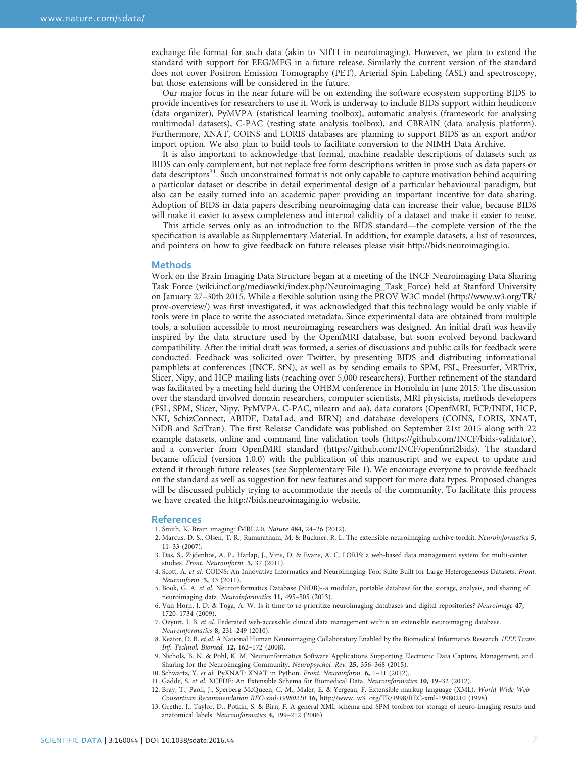<span id="page-8-0"></span>exchange file format for such data (akin to NIfTI in neuroimaging). However, we plan to extend the standard with support for EEG/MEG in a future release. Similarly the current version of the standard does not cover Positron Emission Tomography (PET), Arterial Spin Labeling (ASL) and spectroscopy, but those extensions will be considered in the future.

Our major focus in the near future will be on extending the software ecosystem supporting BIDS to provide incentives for researchers to use it. Work is underway to include BIDS support within heudiconv (data organizer), PyMVPA (statistical learning toolbox), automatic analysis (framework for analysing multimodal datasets), C-PAC (resting state analysis toolbox), and CBRAIN (data analysis platform). Furthermore, XNAT, COINS and LORIS databases are planning to support BIDS as an export and/or import option. We also plan to build tools to facilitate conversion to the NIMH Data Archive.

It is also important to acknowledge that formal, machine readable descriptions of datasets such as BIDS can only complement, but not replace free form descriptions written in prose such as data papers or data descriptors<sup>[31](#page-9-0)</sup>. Such unconstrained format is not only capable to capture motivation behind acquiring a particular dataset or describe in detail experimental design of a particular behavioural paradigm, but also can be easily turned into an academic paper providing an important incentive for data sharing. Adoption of BIDS in data papers describing neuroimaging data can increase their value, because BIDS will make it easier to assess completeness and internal validity of a dataset and make it easier to reuse.

This article serves only as an introduction to the BIDS standard—the complete version of the the specification is available as Supplementary Material. In addition, for example datasets, a list of resources, and pointers on how to give feedback on future releases please visit<http://bids.neuroimaging.io>.

#### Methods

Work on the Brain Imaging Data Structure began at a meeting of the INCF Neuroimaging Data Sharing Task Force (wiki.incf.org/mediawiki/index.php/Neuroimaging\_Task\_Force) held at Stanford University on January 27–30th 2015. While a flexible solution using the PROV W3C model [\(http://www.w3.org/TR/](http://www.w3.org/TR/prov-overview/) [prov-overview/\)](http://www.w3.org/TR/prov-overview/) was first investigated, it was acknowledged that this technology would be only viable if tools were in place to write the associated metadata. Since experimental data are obtained from multiple tools, a solution accessible to most neuroimaging researchers was designed. An initial draft was heavily inspired by the data structure used by the OpenfMRI database, but soon evolved beyond backward compatibility. After the initial draft was formed, a series of discussions and public calls for feedback were conducted. Feedback was solicited over Twitter, by presenting BIDS and distributing informational pamphlets at conferences (INCF, SfN), as well as by sending emails to SPM, FSL, Freesurfer, MRTrix, Slicer, Nipy, and HCP mailing lists (reaching over 5,000 researchers). Further refinement of the standard was facilitated by a meeting held during the OHBM conference in Honolulu in June 2015. The discussion over the standard involved domain researchers, computer scientists, MRI physicists, methods developers (FSL, SPM, Slicer, Nipy, PyMVPA, C-PAC, nilearn and aa), data curators (OpenfMRI, FCP/INDI, HCP, NKI, SchizConnect, ABIDE, DataLad, and BIRN) and database developers (COINS, LORIS, XNAT, NiDB and SciTran). The first Release Candidate was published on September 21st 2015 along with 22 example datasets, online and command line validation tools [\(https://github.com/INCF/bids-validator](https://github.com/INCF/bids-validator)), and a converter from OpenfMRI standard [\(https://github.com/INCF/openfmri2bids\)](https://github.com/INCF/openfmri2bids). The standard became official (version 1.0.0) with the publication of this manuscript and we expect to update and extend it through future releases (see Supplementary File 1). We encourage everyone to provide feedback on the standard as well as suggestion for new features and support for more data types. Proposed changes will be discussed publicly trying to accommodate the needs of the community. To facilitate this process we have created the<http://bids.neuroimaging.io> website.

#### References

1. Smith, K. Brain imaging: fMRI 2.0. Nature 484, 24–26 (2012).

- 2. Marcus, D. S., Olsen, T. R., Ramaratnam, M. & Buckner, R. L. The extensible neuroimaging archive toolkit. Neuroinformatics 5, 11–33 (2007).
- 3. Das, S., Zijdenbos, A. P., Harlap, J., Vins, D. & Evans, A. C. LORIS: a web-based data management system for multi-center studies. Front. Neuroinform. 5, 37 (2011).
- 4. Scott, A. et al. COINS: An Innovative Informatics and Neuroimaging Tool Suite Built for Large Heterogeneous Datasets. Front. Neuroinform. 5, 33 (2011).
- 5. Book, G. A. et al. Neuroinformatics Database (NiDB)--a modular, portable database for the storage, analysis, and sharing of neuroimaging data. Neuroinformatics 11, 495–505 (2013).
- 6. Van Horn, J. D. & Toga, A. W. Is it time to re-prioritize neuroimaging databases and digital repositories? Neuroimage 47, 1720–1734 (2009).
- 7. Ozyurt, I. B. et al. Federated web-accessible clinical data management within an extensible neuroimaging database. Neuroinformatics 8, 231–249 (2010).
- 8. Keator, D. B. et al. A National Human Neuroimaging Collaboratory Enabled by the Biomedical Informatics Research. IEEE Trans. Inf. Technol. Biomed. 12, 162–172 (2008).
- 9. Nichols, B. N. & Pohl, K. M. Neuroinformatics Software Applications Supporting Electronic Data Capture, Management, and Sharing for the Neuroimaging Community. Neuropsychol. Rev. 25, 356–368 (2015).
- 10. Schwartz, Y. et al. PyXNAT: XNAT in Python. Front. Neuroinform. 6, 1–11 (2012).
- 11. Gadde, S. et al. XCEDE: An Extensible Schema for Biomedical Data. Neuroinformatics 10, 19–32 (2012).
- 12. Bray, T., Paoli, J., Sperberg-McQueen, C. M., Maler, E. & Yergeau, F. Extensible markup language (XML). World Wide Web Consortium Recommendation REC-xml-19980210 16, <http://www. w3. org/TR/1998/REC-xml-19980210> (1998).
- 13. Grethe, J., Taylor, D., Potkin, S. & Birn, F. A general XML schema and SPM toolbox for storage of neuro-imaging results and anatomical labels. Neuroinformatics 4, 199–212 (2006).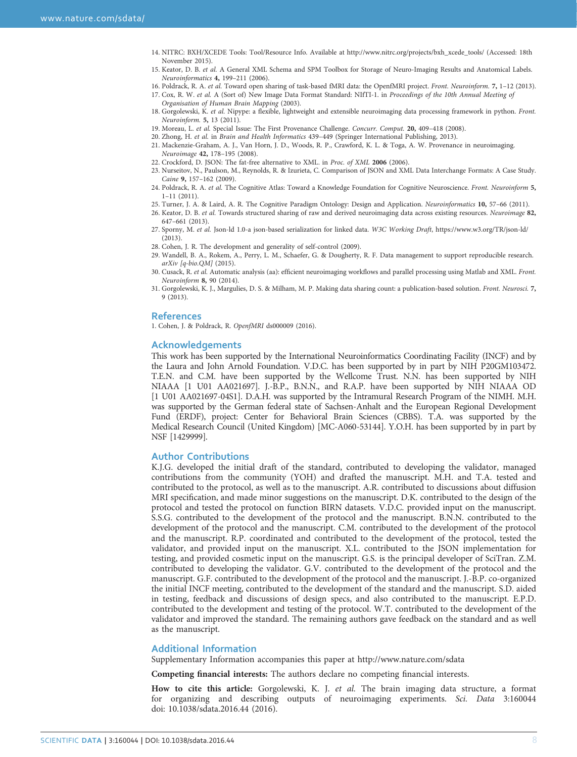- <span id="page-9-0"></span>14. NITRC: BXH/XCEDE Tools: Tool/Resource Info. Available at [http://www.nitrc.org/projects/bxh\\_xcede\\_tools/](http://www.nitrc.org/projects/bxh_xcede_tools/) (Accessed: 18th November 2015).
- 15. Keator, D. B. et al. A General XML Schema and SPM Toolbox for Storage of Neuro-Imaging Results and Anatomical Labels. Neuroinformatics 4, 199–211 (2006).
- 16. Poldrack, R. A. et al. Toward open sharing of task-based fMRI data: the OpenfMRI project. Front. Neuroinform. 7, 1-12 (2013).

17. Cox, R. W. et al. A (Sort of) New Image Data Format Standard: NIfTI-1. in Proceedings of the 10th Annual Meeting of Organisation of Human Brain Mapping (2003).

- 18. Gorgolewski, K. et al. Nipype: a flexible, lightweight and extensible neuroimaging data processing framework in python. Front. Neuroinform. 5, 13 (2011).
- 19. Moreau, L. et al. Special Issue: The First Provenance Challenge. Concurr. Comput. 20, 409–418 (2008).
- 20. Zhong, H. et al. in Brain and Health Informatics 439–449 (Springer International Publishing, 2013).
- 21. Mackenzie-Graham, A. J., Van Horn, J. D., Woods, R. P., Crawford, K. L. & Toga, A. W. Provenance in neuroimaging. Neuroimage 42, 178–195 (2008).
- 22. Crockford, D. JSON: The fat-free alternative to XML. in Proc. of XML 2006 (2006).
- 23. Nurseitov, N., Paulson, M., Reynolds, R. & Izurieta, C. Comparison of JSON and XML Data Interchange Formats: A Case Study. Caine 9, 157–162 (2009).
- 24. Poldrack, R. A. et al. The Cognitive Atlas: Toward a Knowledge Foundation for Cognitive Neuroscience. Front. Neuroinform 5, 1–11 (2011).
- 25. Turner, J. A. & Laird, A. R. The Cognitive Paradigm Ontology: Design and Application. Neuroinformatics 10, 57–66 (2011).
- 26. Keator, D. B. et al. Towards structured sharing of raw and derived neuroimaging data across existing resources. Neuroimage 82, 647–661 (2013).
- 27. Sporny, M. et al. Json-ld 1.0-a json-based serialization for linked data. W3C Working Draft,<https://www.w3.org/TR/json-ld/> (2013).
- 28. Cohen, J. R. The development and generality of self-control (2009).
- 29. Wandell, B. A., Rokem, A., Perry, L. M., Schaefer, G. & Dougherty, R. F. Data management to support reproducible research. arXiv [q-bio.QM] (2015).
- 30. Cusack, R. et al. Automatic analysis (aa): efficient neuroimaging workflows and parallel processing using Matlab and XML. Front. Neuroinform 8, 90 (2014).
- 31. Gorgolewski, K. J., Margulies, D. S. & Milham, M. P. Making data sharing count: a publication-based solution. Front. Neurosci. 7, 9 (2013).

#### References

1. Cohen, J. & Poldrack, R. OpenfMRI ds000009 (2016).

#### Acknowledgements

This work has been supported by the International Neuroinformatics Coordinating Facility (INCF) and by the Laura and John Arnold Foundation. V.D.C. has been supported by in part by NIH P20GM103472. T.E.N. and C.M. have been supported by the Wellcome Trust. N.N. has been supported by NIH NIAAA [1 U01 AA021697]. J.-B.P., B.N.N., and R.A.P. have been supported by NIH NIAAA OD [1 U01 AA021697-04S1]. D.A.H. was supported by the Intramural Research Program of the NIMH. M.H. was supported by the German federal state of Sachsen-Anhalt and the European Regional Development Fund (ERDF), project: Center for Behavioral Brain Sciences (CBBS). T.A. was supported by the Medical Research Council (United Kingdom) [MC-A060-53144]. Y.O.H. has been supported by in part by NSF [1429999].

#### Author Contributions

K.J.G. developed the initial draft of the standard, contributed to developing the validator, managed contributions from the community (YOH) and drafted the manuscript. M.H. and T.A. tested and contributed to the protocol, as well as to the manuscript. A.R. contributed to discussions about diffusion MRI specification, and made minor suggestions on the manuscript. D.K. contributed to the design of the protocol and tested the protocol on function BIRN datasets. V.D.C. provided input on the manuscript. S.S.G. contributed to the development of the protocol and the manuscript. B.N.N. contributed to the development of the protocol and the manuscript. C.M. contributed to the development of the protocol and the manuscript. R.P. coordinated and contributed to the development of the protocol, tested the validator, and provided input on the manuscript. X.L. contributed to the JSON implementation for testing, and provided cosmetic input on the manuscript. G.S. is the principal developer of SciTran. Z.M. contributed to developing the validator. G.V. contributed to the development of the protocol and the manuscript. G.F. contributed to the development of the protocol and the manuscript. J.-B.P. co-organized the initial INCF meeting, contributed to the development of the standard and the manuscript. S.D. aided in testing, feedback and discussions of design specs, and also contributed to the manuscript. E.P.D. contributed to the development and testing of the protocol. W.T. contributed to the development of the validator and improved the standard. The remaining authors gave feedback on the standard and as well as the manuscript.

#### Additional Information

Supplementary Information accompanies this paper at<http://www.nature.com/sdata>

Competing financial interests: The authors declare no competing financial interests.

How to cite this article: Gorgolewski, K. J. et al. The brain imaging data structure, a format for organizing and describing outputs of neuroimaging experiments. Sci. Data 3:160044 doi: 10.1038/sdata.2016.44 (2016).